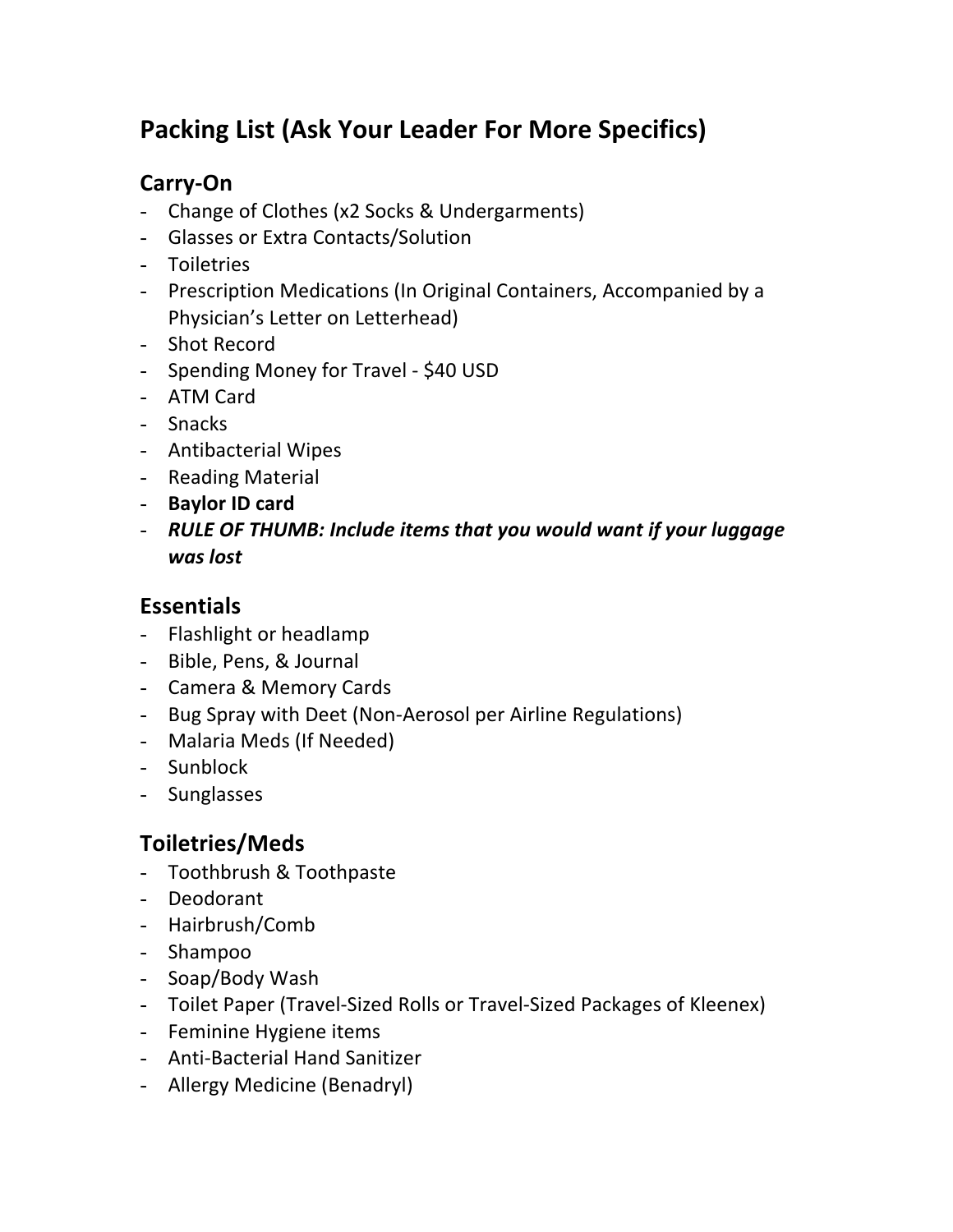# Packing List (Ask Your Leader For More Specifics)

#### **Carry<On**

- Change of Clothes (x2 Socks & Undergarments)
- Glasses or Extra Contacts/Solution
- Toiletries
- Prescription Medications (In Original Containers, Accompanied by a Physician's Letter on Letterhead)
- Shot Record
- Spending Money for Travel \$40 USD
- ATM Card
- Snacks
- Antibacterial Wipes
- Reading Material
- **Baylor ID card**
- **RULE OF THUMB: Include items that you would want if your luggage** *was%lost*

#### **Essentials**

- Flashlight or headlamp
- Bible, Pens, & Journal
- Camera & Memory Cards
- Bug Spray with Deet (Non-Aerosol per Airline Regulations)
- Malaria Meds (If Needed)
- Sunblock'
- Sunglasses

#### **Toiletries/Meds**

- Toothbrush & Toothpaste
- Deodorant
- Hairbrush/Comb
- Shampoo
- Soap/Body Wash
- Toilet Paper (Travel-Sized Rolls or Travel-Sized Packages of Kleenex)
- Feminine Hygiene items
- Anti-Bacterial Hand Sanitizer
- Allergy Medicine (Benadryl)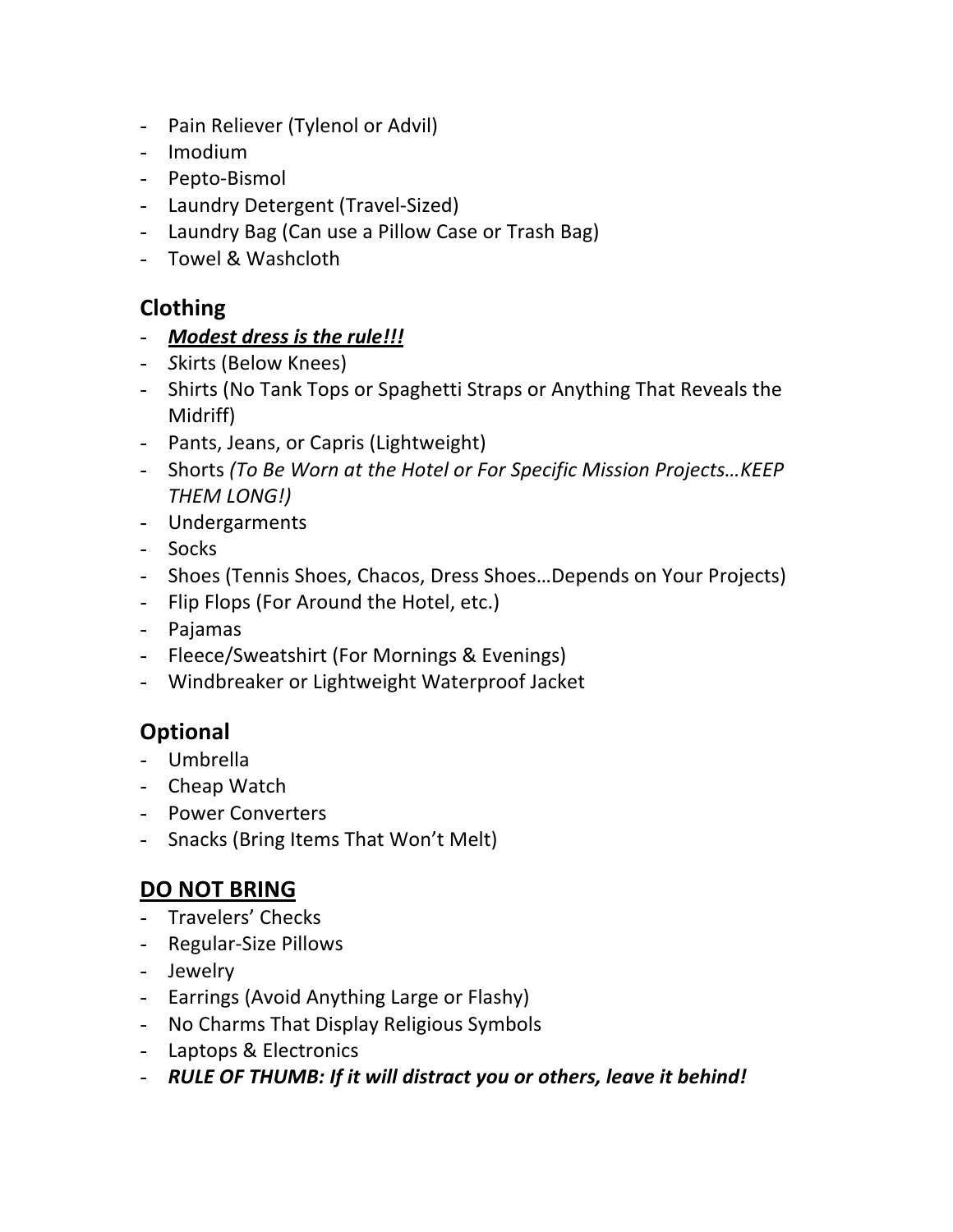- Pain Reliever (Tylenol or Advil)
- Imodium'
- Pepto-Bismol
- Laundry Detergent (Travel-Sized)
- Laundry Bag (Can use a Pillow Case or Trash Bag)
- Towel & Washcloth

#### **Clothing**

#### - *Modest dress is the rule!!!*

- *Skirts (Below Knees)*
- Shirts (No Tank Tops or Spaghetti Straps or Anything That Reveals the Midriff)
- Pants, Jeans, or Capris (Lightweight)
- Shorts (To Be Worn at the Hotel or For Specific Mission Projects...KEEP" *THEM"LONG!)*
- Undergarments
- Socks
- Shoes (Tennis Shoes, Chacos, Dress Shoes...Depends on Your Projects)
- Flip Flops (For Around the Hotel, etc.)
- Pajamas
- Fleece/Sweatshirt (For Mornings & Evenings)
- Windbreaker or Lightweight Waterproof Jacket

#### **Optional**

- Umbrella
- Cheap Watch
- Power Converters
- Snacks (Bring Items That Won't Melt)

#### **DO NOT BRING**

- Travelers' Checks
- Regular-Size Pillows
- Jewelry
- Earrings (Avoid Anything Large or Flashy)
- No Charms That Display Religious Symbols
- Laptops & Electronics
- *RULE OF THUMB: If it will distract you or others, leave it behind!*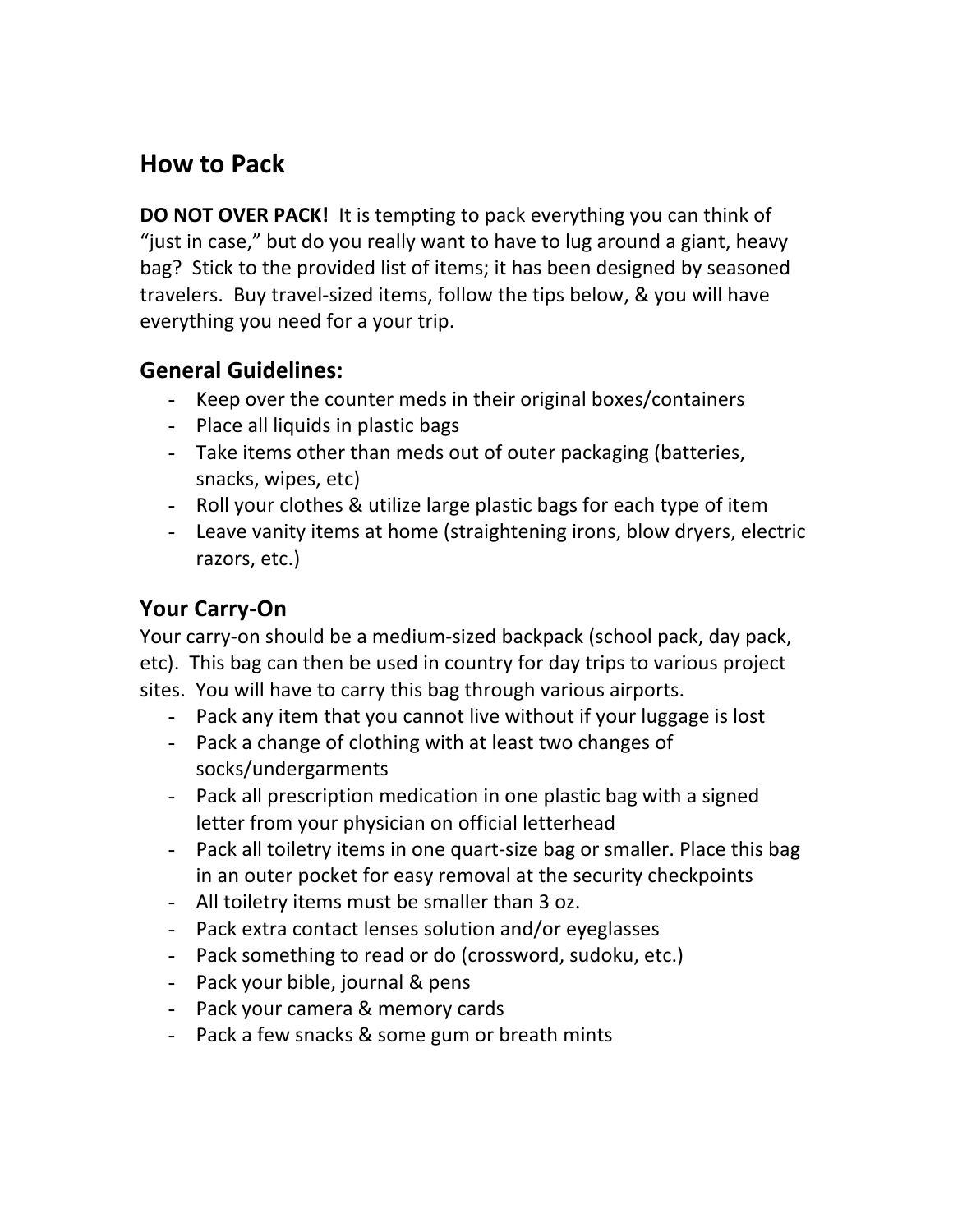## **How to Pack**

**DO NOT OVER PACK!** It is tempting to pack everything you can think of "just in case," but do you really want to have to lug around a giant, heavy bag? Stick to the provided list of items; it has been designed by seasoned travelers. Buy travel-sized items, follow the tips below, & you will have everything you need for a your trip.

#### **General(Guidelines:**

- Keep over the counter meds in their original boxes/containers
- Place all liquids in plastic bags
- Take items other than meds out of outer packaging (batteries, snacks, wipes, etc)
- Roll your clothes & utilize large plastic bags for each type of item
- Leave vanity items at home (straightening irons, blow dryers, electric razors, etc.)

### **Your Carry-On**

Your carry-on should be a medium-sized backpack (school pack, day pack, etc). This bag can then be used in country for day trips to various project sites. You will have to carry this bag through various airports.

- Pack any item that you cannot live without if your luggage is lost
- Pack a change of clothing with at least two changes of socks/undergarments
- Pack all prescription medication in one plastic bag with a signed letter from your physician on official letterhead
- Pack all toiletry items in one quart-size bag or smaller. Place this bag in an outer pocket for easy removal at the security checkpoints
- All toiletry items must be smaller than 3 oz.
- Pack extra contact lenses solution and/or eyeglasses
- Pack something to read or do (crossword, sudoku, etc.)
- Pack your bible, journal & pens
- Pack your camera & memory cards
- Pack a few snacks & some gum or breath mints